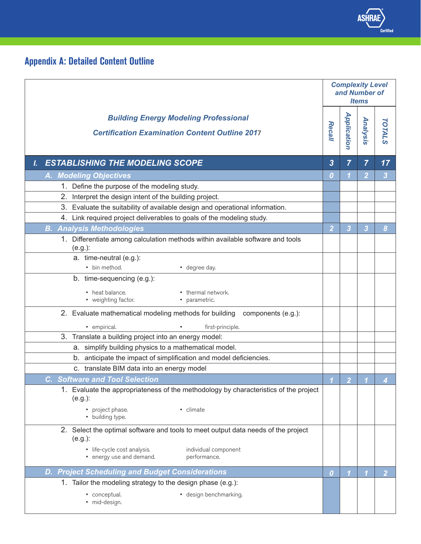

## **Appendix A: Detailed Content Outline**

|                                                                                                                     |                  | <b>Complexity Level</b><br>and Number of<br><b>Items</b> |                |                |  |
|---------------------------------------------------------------------------------------------------------------------|------------------|----------------------------------------------------------|----------------|----------------|--|
| <b>Building Energy Modeling Professional</b><br><b>Certification Examination Content Outline 2017</b>               | Recall           | <b>Application</b>                                       | Analysis       | <b>TOTALS</b>  |  |
| <b>ESTABLISHING THE MODELING SCOPE</b><br>L                                                                         | 3                | 7                                                        | $\overline{7}$ | 17             |  |
| A. Modeling Objectives                                                                                              | 0                | 1                                                        | $\overline{2}$ | 3              |  |
| 1. Define the purpose of the modeling study.                                                                        |                  |                                                          |                |                |  |
| 2. Interpret the design intent of the building project.                                                             |                  |                                                          |                |                |  |
| 3. Evaluate the suitability of available design and operational information.                                        |                  |                                                          |                |                |  |
| 4. Link required project deliverables to goals of the modeling study.                                               |                  |                                                          |                |                |  |
| <b>B. Analysis Methodologies</b>                                                                                    | $\overline{2}$   | 3                                                        | 3              | 8              |  |
| 1. Differentiate among calculation methods within available software and tools<br>$(e.g.)$ :                        |                  |                                                          |                |                |  |
| a. time-neutral (e.g.):                                                                                             |                  |                                                          |                |                |  |
| • bin method.<br>• degree day.                                                                                      |                  |                                                          |                |                |  |
| b. time-sequencing (e.g.):                                                                                          |                  |                                                          |                |                |  |
| • heat balance.<br>• thermal network.<br>• weighting factor.<br>· parametric.                                       |                  |                                                          |                |                |  |
| 2. Evaluate mathematical modeling methods for building components (e.g.):                                           |                  |                                                          |                |                |  |
| · empirical.<br>first-principle.                                                                                    |                  |                                                          |                |                |  |
| 3. Translate a building project into an energy model:                                                               |                  |                                                          |                |                |  |
| simplify building physics to a mathematical model.<br>а.                                                            |                  |                                                          |                |                |  |
| anticipate the impact of simplification and model deficiencies.<br>b.<br>c. translate BIM data into an energy model |                  |                                                          |                |                |  |
| <b>C. Software and Tool Selection</b>                                                                               |                  |                                                          |                |                |  |
| 1. Evaluate the appropriateness of the methodology by characteristics of the project<br>(e.g.):                     |                  | $\overline{2}$                                           |                |                |  |
| • project phase.<br>• climate<br>• building type.                                                                   |                  |                                                          |                |                |  |
| 2. Select the optimal software and tools to meet output data needs of the project<br>$(e.g.)$ :                     |                  |                                                          |                |                |  |
| · life-cycle cost analysis.<br>individual component<br>• energy use and demand.<br>performance.                     |                  |                                                          |                |                |  |
| <b>Project Scheduling and Budget Considerations</b><br>D.                                                           | $\boldsymbol{0}$ |                                                          |                | $\overline{2}$ |  |
| 1. Tailor the modeling strategy to the design phase (e.g.):                                                         |                  |                                                          |                |                |  |
| • design benchmarking.<br>conceptual.<br>· mid-design.                                                              |                  |                                                          |                |                |  |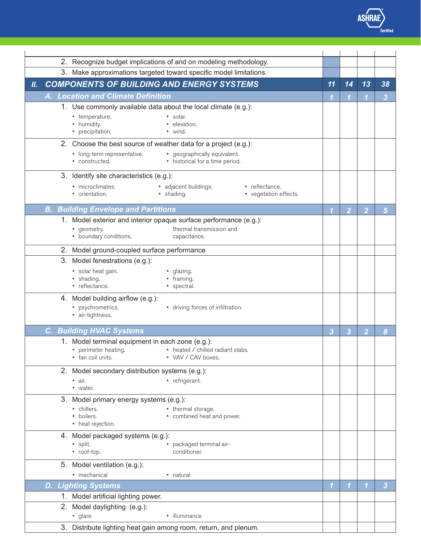

*Recall*

*Application*

|    | 2. Recognize budget implications of and on modeling methodology.                                                                                                   |                |                            |                |                         |
|----|--------------------------------------------------------------------------------------------------------------------------------------------------------------------|----------------|----------------------------|----------------|-------------------------|
|    | 3. Make approximations targeted toward specific model limitations.                                                                                                 |                |                            |                |                         |
| Ш. | <b>COMPONENTS OF BUILDING AND ENERGY SYSTEMS</b>                                                                                                                   | 11             | 14                         | 13             | 38                      |
|    | A. Location and Climate Definition                                                                                                                                 |                |                            |                | $\overline{\mathbf{3}}$ |
|    | 1. Use commonly available data about the local climate (e.g.):<br>- temperature.<br>• solar.<br>• humidity.<br>• elevation.<br>• precipitation.<br>$\bullet$ wind. |                |                            |                |                         |
|    | 2. Choose the best source of weather data for a project (e.g.):                                                                                                    |                |                            |                |                         |
|    | • geographically equivalent.<br>• long-term representative.<br>• constructed.<br>• historical for a time period.                                                   |                |                            |                |                         |
|    | 3. Identify site characteristics (e.g.):                                                                                                                           |                |                            |                |                         |
|    | · microclimates.<br>• adjacent buildings.<br>• reflectance.<br>• orientation.<br>· shading.<br>• vegetation effects.                                               |                |                            |                |                         |
|    | <b>B. Building Envelope and Partitions</b>                                                                                                                         | -1             | $\overline{2}$             | $\overline{2}$ | $5\overline{5}$         |
|    | 1. Model exterior and interior opaque surface performance (e.g.):<br>thermal transmission and<br>• geometry.<br>• boundary conditions.<br>capacitance.             |                |                            |                |                         |
|    | 2. Model ground-coupled surface performance                                                                                                                        |                |                            |                |                         |
|    | 3. Model fenestrations (e.g.):                                                                                                                                     |                |                            |                |                         |
|    | · solar heat gain.<br>· glazing.<br>· shading.<br>• framing.<br>• reflectance.<br>• spectral.                                                                      |                |                            |                |                         |
|    | 4. Model building airflow (e.g.):<br>· psychrometrics.<br>• driving forces of infiltration.<br>· air-tightness.                                                    |                |                            |                |                         |
|    | <b>C. Building HVAC Systems</b>                                                                                                                                    | $\overline{3}$ | $\overline{3}$             | $\overline{2}$ | 8                       |
|    | 1. Model terminal equipment in each zone (e.g.):<br>• perimeter heating.<br>• heated / chilled radiant slabs.<br>• fan coil units.<br>• VAV / CAV boxes.           |                |                            |                |                         |
|    | 2. Model secondary distribution systems (e.g.):<br>• refrigerant.<br>· air.<br>• water.                                                                            |                |                            |                |                         |
|    | 3. Model primary energy systems (e.g.):<br>- chillers.<br>• thermal storage.<br>• combined heat and power.<br>• boilers.<br>• heat rejection.                      |                |                            |                |                         |
|    | 4. Model packaged systems (e.g.):<br>· split.<br>packaged terminal air-<br>· roof-top.<br>conditioner.                                                             |                |                            |                |                         |
|    | 5. Model ventilation (e.g.):<br>• mechanical<br>• natural                                                                                                          |                |                            |                |                         |
|    | <b>D. Lighting Systems</b>                                                                                                                                         | 1              | $\boldsymbol{\mathcal{L}}$ | 1              | 3                       |
|    | 1. Model artificial lighting power.                                                                                                                                |                |                            |                |                         |
|    | 2. Model daylighting (e.g.):<br>· illuminance<br>• glare                                                                                                           |                |                            |                |                         |
|    | 3. Distribute lighting heat gain among room, return, and plenum.                                                                                                   |                |                            |                |                         |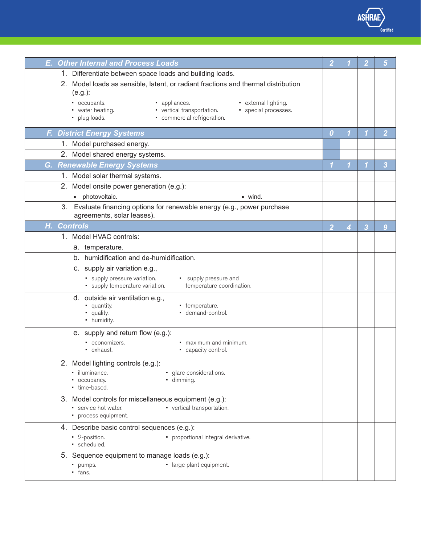*Analysis* /<br>erti<br>| *Certified* 

*Recall*

*Application*

| <b>E. Other Internal and Process Loads</b>                                                                                                                                                                                                                                      |                         |   |   | 5              |
|---------------------------------------------------------------------------------------------------------------------------------------------------------------------------------------------------------------------------------------------------------------------------------|-------------------------|---|---|----------------|
| 1. Differentiate between space loads and building loads.                                                                                                                                                                                                                        |                         |   |   |                |
| 2. Model loads as sensible, latent, or radiant fractions and thermal distribution<br>(e.g.):<br>• occupants.<br>• appliances.<br>• external lighting.<br>• water heating.<br>• vertical transportation.<br>• special processes.<br>• commercial refrigeration.<br>• plug loads. |                         |   |   |                |
| <b>F. District Energy Systems</b>                                                                                                                                                                                                                                               | $\boldsymbol{0}$        | 1 | 1 | $\overline{2}$ |
| 1. Model purchased energy.                                                                                                                                                                                                                                                      |                         |   |   |                |
| 2. Model shared energy systems.                                                                                                                                                                                                                                                 |                         |   |   |                |
| <b>G. Renewable Energy Systems</b>                                                                                                                                                                                                                                              | $\overline{\mathbf{1}}$ |   |   | 3              |
| 1. Model solar thermal systems.                                                                                                                                                                                                                                                 |                         |   |   |                |
| 2. Model onsite power generation (e.g.):                                                                                                                                                                                                                                        |                         |   |   |                |
| • photovoltaic.<br>$\bullet$ wind.                                                                                                                                                                                                                                              |                         |   |   |                |
| Evaluate financing options for renewable energy (e.g., power purchase<br>3.<br>agreements, solar leases).                                                                                                                                                                       |                         |   |   |                |
| Н.<br><b>Controls</b>                                                                                                                                                                                                                                                           | $\overline{2}$          | 4 | 3 | 9              |
| 1. Model HVAC controls:                                                                                                                                                                                                                                                         |                         |   |   |                |
| a. temperature.                                                                                                                                                                                                                                                                 |                         |   |   |                |
| b. humidification and de-humidification.                                                                                                                                                                                                                                        |                         |   |   |                |
| c. supply air variation e.g.,                                                                                                                                                                                                                                                   |                         |   |   |                |
| • supply pressure variation.<br>• supply pressure and<br>• supply temperature variation.<br>temperature coordination.                                                                                                                                                           |                         |   |   |                |
| d. outside air ventilation e.g.,<br>• quantity.<br>• temperature.<br>• quality.<br>demand-control.<br>• humidity.                                                                                                                                                               |                         |   |   |                |
| e. supply and return flow (e.g.):                                                                                                                                                                                                                                               |                         |   |   |                |
| • economizers.<br>• maximum and minimum.<br>• exhaust.<br>• capacity control.                                                                                                                                                                                                   |                         |   |   |                |
| 2. Model lighting controls (e.g.):                                                                                                                                                                                                                                              |                         |   |   |                |
| · illuminance.<br>• glare considerations.<br>• occupancy.<br>· dimming.<br>• time-based.                                                                                                                                                                                        |                         |   |   |                |
| 3. Model controls for miscellaneous equipment (e.g.):<br>• service hot water.<br>• vertical transportation.<br>• process equipment.                                                                                                                                             |                         |   |   |                |
| 4. Describe basic control sequences (e.g.):                                                                                                                                                                                                                                     |                         |   |   |                |
| • 2-position.<br>• proportional integral derivative.<br>· scheduled.                                                                                                                                                                                                            |                         |   |   |                |
| 5. Sequence equipment to manage loads (e.g.):                                                                                                                                                                                                                                   |                         |   |   |                |
| · large plant equipment.<br>· pumps.<br>$-$ fans.                                                                                                                                                                                                                               |                         |   |   |                |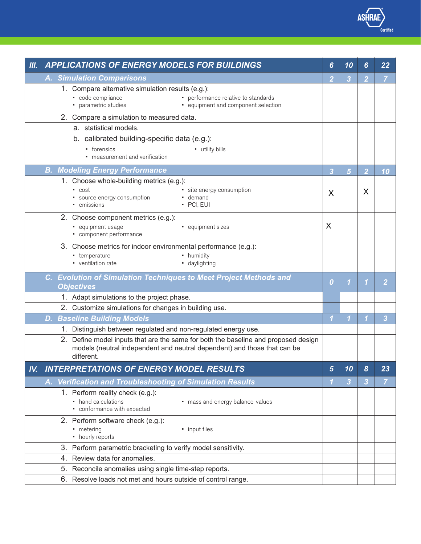*Analysis T*<br>Priod<br>Totals *Certified* 

*Recall*

*Application*

| <b>III.</b> |    | <b>APPLICATIONS OF ENERGY MODELS FOR BUILDINGS</b>                                                                                                                           | 6                | 10              | 6              | 22             |
|-------------|----|------------------------------------------------------------------------------------------------------------------------------------------------------------------------------|------------------|-----------------|----------------|----------------|
|             |    | <b>A. Simulation Comparisons</b>                                                                                                                                             | $\overline{2}$   | 3               | $\overline{2}$ | $\overline{7}$ |
|             |    | 1. Compare alternative simulation results (e.g.):                                                                                                                            |                  |                 |                |                |
|             |    | • code compliance<br>• performance relative to standards<br>• parametric studies<br>• equipment and component selection                                                      |                  |                 |                |                |
|             |    | 2. Compare a simulation to measured data.                                                                                                                                    |                  |                 |                |                |
|             |    | a. statistical models.                                                                                                                                                       |                  |                 |                |                |
|             |    | b. calibrated building-specific data (e.g.):                                                                                                                                 |                  |                 |                |                |
|             |    | • forensics<br>- utility bills<br>• measurement and verification                                                                                                             |                  |                 |                |                |
|             |    | <b>B. Modeling Energy Performance</b>                                                                                                                                        | $\overline{3}$   | $5\phantom{.0}$ | $\overline{2}$ | 10             |
|             |    | 1. Choose whole-building metrics (e.g.):                                                                                                                                     |                  |                 |                |                |
|             |    | · site energy consumption<br>• cost<br>• source energy consumption<br>• demand<br>• emissions<br>· PCI, EUI                                                                  | X                |                 | X              |                |
|             |    | 2. Choose component metrics (e.g.):                                                                                                                                          |                  |                 |                |                |
|             |    | · equipment usage<br>· equipment sizes<br>• component performance                                                                                                            | X                |                 |                |                |
|             |    | 3. Choose metrics for indoor environmental performance (e.g.):                                                                                                               |                  |                 |                |                |
|             |    | • humidity<br>- temperature<br>• ventilation rate<br>· daylighting                                                                                                           |                  |                 |                |                |
|             |    | C. Evolution of Simulation Techniques to Meet Project Methods and<br><b>Objectives</b>                                                                                       | $\boldsymbol{0}$ |                 | 1              | 2              |
|             |    | 1. Adapt simulations to the project phase.                                                                                                                                   |                  |                 |                |                |
|             |    | 2. Customize simulations for changes in building use.                                                                                                                        |                  |                 |                |                |
|             | D. | <b>Baseline Building Models</b>                                                                                                                                              | $\mathbf 1$      | 1               |                | 3              |
|             |    | 1. Distinguish between regulated and non-regulated energy use.                                                                                                               |                  |                 |                |                |
|             |    | 2. Define model inputs that are the same for both the baseline and proposed design<br>models (neutral independent and neutral dependent) and those that can be<br>different. |                  |                 |                |                |
| IV.         |    | <b>INTERPRETATIONS OF ENERGY MODEL RESULTS</b>                                                                                                                               | 5                | 10              | 8              | 23             |
|             |    | A. Verification and Troubleshooting of Simulation Results                                                                                                                    |                  | 3               | 3              | $\overline{7}$ |
|             |    | 1. Perform reality check (e.g.):                                                                                                                                             |                  |                 |                |                |
|             |    | • hand calculations<br>• mass and energy balance values<br>• conformance with expected                                                                                       |                  |                 |                |                |
|             |    | 2. Perform software check (e.g.):                                                                                                                                            |                  |                 |                |                |
|             |    | - metering<br>• input files<br>• hourly reports                                                                                                                              |                  |                 |                |                |
|             | 3. | Perform parametric bracketing to verify model sensitivity.                                                                                                                   |                  |                 |                |                |
|             | 4. | Review data for anomalies.                                                                                                                                                   |                  |                 |                |                |
|             | 5. | Reconcile anomalies using single time-step reports.                                                                                                                          |                  |                 |                |                |
|             |    | 6. Resolve loads not met and hours outside of control range.                                                                                                                 |                  |                 |                |                |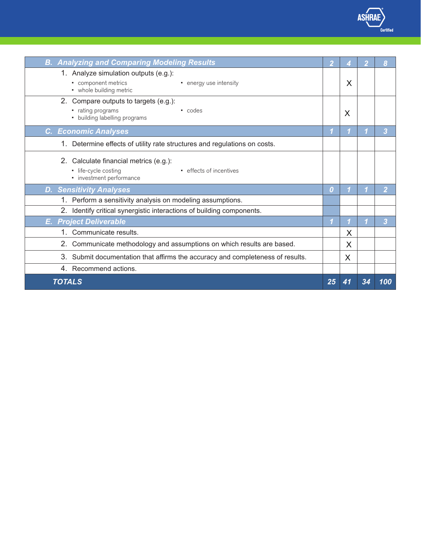*B. Analyzing and Comparing Modeling Results 2 4 2 8* 1. Analyze simulation outputs (e.g.): 2. Compare outputs to targets (e.g.): *C. Economic Analyses 1 1 1 3* 1. Determine effects of utility rate structures and regulations on costs. 2. Calculate financial metrics (e.g.): *D. Sensitivity Analyses 0 1 1 2* 1. Perform a sensitivity analysis on modeling assumptions. 2. Identify critical synergistic interactions of building components. *E. Project Deliverable 1 1 1 3* 1. Communicate results. 2. Communicate methodology and assumptions on which results are based. 3. Submit documentation that affirms the accuracy and completeness of results. 4. Recommend actions.  *TOTALS 25 41 34 100* • component metrics • whole building metric • energy use intensity • rating programs • building labelling programs • codes • life-cycle costing • investment performance • effects of incentives X X X X X

*Recall*

*Application*

*Analysis*

/<br>erti<br><u>\_\_\_</u>

heitite